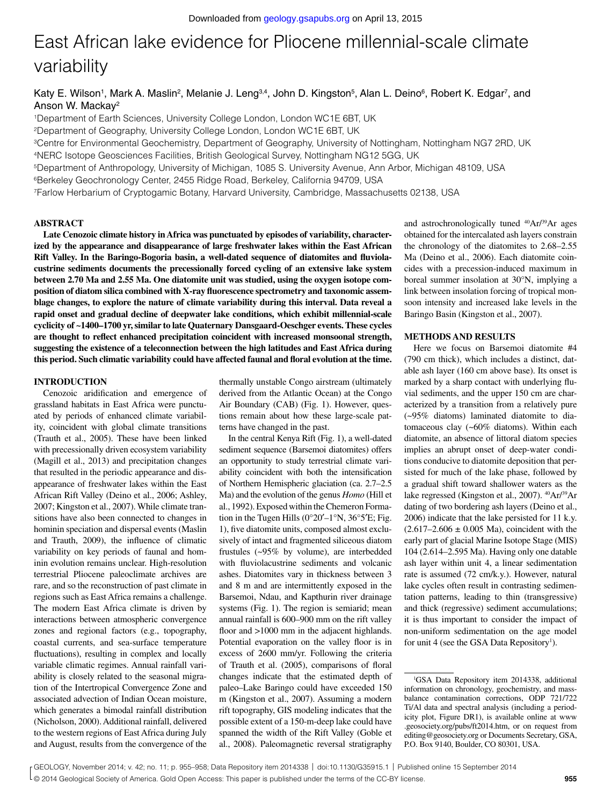# East African lake evidence for Pliocene millennial-scale climate variability

Katy E. Wilson<sup>1</sup>, Mark A. Maslin<sup>2</sup>, Melanie J. Leng<sup>3,4</sup>, John D. Kingston<sup>5</sup>, Alan L. Deino<sup>6</sup>, Robert K. Edgar<sup>7</sup>, and Anson W. Mackay2

1Department of Earth Sciences, University College London, London WC1E 6BT, UK

2Department of Geography, University College London, London WC1E 6BT, UK

3Centre for Environmental Geochemistry, Department of Geography, University of Nottingham, Nottingham NG7 2RD, UK

4NERC Isotope Geosciences Facilities, British Geological Survey, Nottingham NG12 5GG, UK

5Department of Anthropology, University of Michigan, 1085 S. University Avenue, Ann Arbor, Michigan 48109, USA

6Berkeley Geochronology Center, 2455 Ridge Road, Berkeley, California 94709, USA

7Farlow Herbarium of Cryptogamic Botany, Harvard University, Cambridge, Massachusetts 02138, USA

#### **ABSTRACT**

**Late Cenozoic climate history in Africa was punctuated by episodes of variability, characterized by the appearance and disappearance of large freshwater lakes within the East African Rift Valley. In the Baringo-Bogoria basin, a well-dated sequence of diatomites and fluviolacustrine sediments documents the precessionally forced cycling of an extensive lake system between 2.70 Ma and 2.55 Ma. One diatomite unit was studied, using the oxygen isotope composition of diatom silica combined with X-ray fluorescence spectrometry and taxonomic assemblage changes, to explore the nature of climate variability during this interval. Data reveal a rapid onset and gradual decline of deepwater lake conditions, which exhibit millennial-scale cyclicity of ~1400–1700 yr, similar to late Quaternary Dansgaard-Oeschger events. These cycles are thought to reflect enhanced precipitation coincident with increased monsoonal strength, suggesting the existence of a teleconnection between the high latitudes and East Africa during this period. Such climatic variability could have affected faunal and floral evolution at the time.**

#### **INTRODUCTION**

Cenozoic aridification and emergence of grassland habitats in East Africa were punctuated by periods of enhanced climate variability, coincident with global climate transitions (Trauth et al., 2005). These have been linked with precessionally driven ecosystem variability (Magill et al., 2013) and precipitation changes that resulted in the periodic appearance and disappearance of freshwater lakes within the East African Rift Valley (Deino et al., 2006; Ashley, 2007; Kingston et al., 2007). While climate transitions have also been connected to changes in hominin speciation and dispersal events (Maslin and Trauth, 2009), the influence of climatic variability on key periods of faunal and hominin evolution remains unclear. High-resolution terrestrial Pliocene paleoclimate archives are rare, and so the reconstruction of past climate in regions such as East Africa remains a challenge. The modern East Africa climate is driven by interactions between atmospheric convergence zones and regional factors (e.g., topography, coastal currents, and sea-surface temperature fluctuations), resulting in complex and locally variable climatic regimes. Annual rainfall variability is closely related to the seasonal migration of the Intertropical Convergence Zone and associated advection of Indian Ocean moisture, which generates a bimodal rainfall distribution (Nicholson, 2000). Additional rainfall, delivered to the western regions of East Africa during July and August, results from the convergence of the

thermally unstable Congo airstream (ultimately derived from the Atlantic Ocean) at the Congo Air Boundary (CAB) (Fig. 1). However, questions remain about how these large-scale patterns have changed in the past.

In the central Kenya Rift (Fig. 1), a well-dated sediment sequence (Barsemoi diatomites) offers an opportunity to study terrestrial climate variability coincident with both the intensification of Northern Hemispheric glaciation (ca. 2.7–2.5 Ma) and the evolution of the genus *Homo* (Hill et al., 1992). Exposed within the Chemeron Formation in the Tugen Hills ( $0^{\circ}20'$ – $1^{\circ}$ N,  $36^{\circ}5'$ E; Fig. 1), five diatomite units, composed almost exclusively of intact and fragmented siliceous diatom frustules (~95% by volume), are interbedded with fluviolacustrine sediments and volcanic ashes. Diatomites vary in thickness between 3 and 8 m and are intermittently exposed in the Barsemoi, Ndau, and Kapthurin river drainage systems (Fig. 1). The region is semiarid; mean annual rainfall is 600–900 mm on the rift valley floor and >1000 mm in the adjacent highlands. Potential evaporation on the valley floor is in excess of 2600 mm/yr. Following the criteria of Trauth et al. (2005), comparisons of floral changes indicate that the estimated depth of paleo–Lake Baringo could have exceeded 150 m (Kingston et al., 2007). Assuming a modern rift topography, GIS modeling indicates that the possible extent of a 150-m-deep lake could have spanned the width of the Rift Valley (Goble et al., 2008). Paleomagnetic reversal stratigraphy

and astrochronologically tuned 40Ar/39Ar ages obtained for the intercalated ash layers constrain the chronology of the diatomites to 2.68–2.55 Ma (Deino et al., 2006). Each diatomite coincides with a precession-induced maximum in boreal summer insolation at 30°N, implying a link between insolation forcing of tropical monsoon intensity and increased lake levels in the Baringo Basin (Kingston et al., 2007).

#### **METHODS AND RESULTS**

Here we focus on Barsemoi diatomite #4 (790 cm thick), which includes a distinct, datable ash layer (160 cm above base). Its onset is marked by a sharp contact with underlying fluvial sediments, and the upper 150 cm are characterized by a transition from a relatively pure (~95% diatoms) laminated diatomite to diatomaceous clay (~60% diatoms). Within each diatomite, an absence of littoral diatom species implies an abrupt onset of deep-water conditions conducive to diatomite deposition that persisted for much of the lake phase, followed by a gradual shift toward shallower waters as the lake regressed (Kingston et al., 2007). <sup>40</sup>Ar/<sup>39</sup>Ar dating of two bordering ash layers (Deino et al., 2006) indicate that the lake persisted for 11 k.y.  $(2.617 - 2.606 \pm 0.005 \text{ Ma})$ , coincident with the early part of glacial Marine Isotope Stage (MIS) 104 (2.614–2.595 Ma). Having only one datable ash layer within unit 4, a linear sedimentation rate is assumed (72 cm/k.y.). However, natural lake cycles often result in contrasting sedimentation patterns, leading to thin (transgressive) and thick (regressive) sediment accumulations; it is thus important to consider the impact of non-uniform sedimentation on the age model for unit 4 (see the GSA Data Repository<sup>1</sup>).

<sup>1</sup> GSA Data Repository item 2014338, additional information on chronology, geochemistry, and massbalance contamination corrections, ODP 721/722 Ti/Al data and spectral analysis (including a periodicity plot, Figure DR1), is available online at www .geosociety.org/pubs/ft2014.htm, or on request from editing@geosociety.org or Documents Secretary, GSA, P.O. Box 9140, Boulder, CO 80301, USA.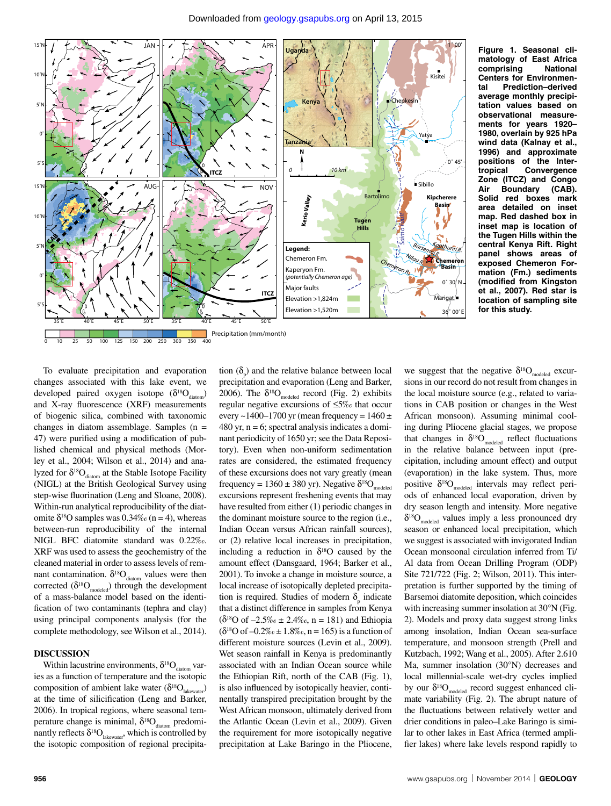

**Figure 1. Seasonal climatology of East Africa comprising National Centers for Environmental Prediction–derived average monthly precipitation values based on observational measurements for years 1920– 1980, overlain by 925 hPa wind data (Kalnay et al., 1996) and approximate positions of the Intertropical Convergence Zone (ITCZ) and Congo Air Boundary (CAB). Solid red boxes mark area detailed on inset map. Red dashed box in inset map is location of the Tugen Hills within the central Kenya Rift. Right panel shows areas of exposed Chemeron Formation (Fm.) sediments (modified from Kingston et al., 2007). Red star is location of sampling site for this study.**

To evaluate precipitation and evaporation changes associated with this lake event, we developed paired oxygen isotope  $(\delta^{18}O_{diatom})$ and X-ray fluorescence (XRF) measurements of biogenic silica, combined with taxonomic changes in diatom assemblage. Samples (n = 47) were purified using a modification of published chemical and physical methods (Morley et al., 2004; Wilson et al., 2014) and analyzed for  $\delta^{18}O_{diatom}$  at the Stable Isotope Facility (NIGL) at the British Geological Survey using step-wise fluorination (Leng and Sloane, 2008). Within-run analytical reproducibility of the diatomite  $\delta^{18}$ O samples was 0.34‰ (n = 4), whereas between-run reproducibility of the internal NIGL BFC diatomite standard was 0.22‰. XRF was used to assess the geochemistry of the cleaned material in order to assess levels of remnant contamination.  $\delta^{18}O_{diatom}$  values were then corrected  $(\delta^{18}O_{model})$  through the development of a mass-balance model based on the identification of two contaminants (tephra and clay) using principal components analysis (for the complete methodology, see Wilson et al., 2014).

#### **DISCUSSION**

Within lacustrine environments,  $\delta^{18}O_{diatom}$  varies as a function of temperature and the isotopic composition of ambient lake water ( $\delta^{18}O_{\text{lakewater}}$ ) at the time of silicification (Leng and Barker, 2006). In tropical regions, where seasonal temperature change is minimal,  $\delta^{18}O_{diatom}$  predominantly reflects  $\delta^{18}O_{\text{lakewater}}$ , which is controlled by the isotopic composition of regional precipita-

tion  $(\delta_p)$  and the relative balance between local precipitation and evaporation (Leng and Barker, 2006). The  $\delta^{18}O_{\text{model}}$  record (Fig. 2) exhibits regular negative excursions of ≤5‰ that occur every ~1400–1700 yr (mean frequency =  $1460 \pm$  $480$  yr, n = 6; spectral analysis indicates a dominant periodicity of 1650 yr; see the Data Repository). Even when non-uniform sedimentation rates are considered, the estimated frequency of these excursions does not vary greatly (mean frequency = 1360 ± 380 yr). Negative  $\delta^{18}O_{\text{modeled}}$ excursions represent freshening events that may have resulted from either (1) periodic changes in the dominant moisture source to the region (i.e., Indian Ocean versus African rainfall sources), or (2) relative local increases in precipitation, including a reduction in  $\delta^{18}$ O caused by the amount effect (Dansgaard, 1964; Barker et al., 2001). To invoke a change in moisture source, a local increase of isotopically depleted precipitation is required. Studies of modern  $\delta_{\rm p}$  indicate that a distinct difference in samples from Kenya  $(\delta^{18}O \text{ of } -2.5\% \text{ of } \pm 2.4\% \text{ of } n = 181)$  and Ethiopia  $(\delta^{18}O \text{ of } -0.2\% \text{ of } \pm 1.8\% \text{ of } n = 165)$  is a function of different moisture sources (Levin et al., 2009). Wet season rainfall in Kenya is predominantly associated with an Indian Ocean source while the Ethiopian Rift, north of the CAB (Fig. 1), is also influenced by isotopically heavier, continentally transpired precipitation brought by the West African monsoon, ultimately derived from the Atlantic Ocean (Levin et al., 2009). Given the requirement for more isotopically negative precipitation at Lake Baringo in the Pliocene,

we suggest that the negative  $\delta^{18}O_{\text{model}}$  excursions in our record do not result from changes in the local moisture source (e.g., related to variations in CAB position or changes in the West African monsoon). Assuming minimal cooling during Pliocene glacial stages, we propose that changes in  $\delta^{18}O_{\text{modeled}}$  reflect fluctuations in the relative balance between input (precipitation, including amount effect) and output (evaporation) in the lake system. Thus, more positive  $\delta^{18}O_{\text{modeled}}$  intervals may reflect periods of enhanced local evaporation, driven by dry season length and intensity. More negative  $\delta^{18}O_{\text{model}}$  values imply a less pronounced dry season or enhanced local precipitation, which we suggest is associated with invigorated Indian Ocean monsoonal circulation inferred from Ti/ Al data from Ocean Drilling Program (ODP) Site 721/722 (Fig. 2; Wilson, 2011). This interpretation is further supported by the timing of Barsemoi diatomite deposition, which coincides with increasing summer insolation at 30°N (Fig. 2). Models and proxy data suggest strong links among insolation, Indian Ocean sea-surface temperature, and monsoon strength (Prell and Kutzbach, 1992; Wang et al., 2005). After 2.610 Ma, summer insolation (30°N) decreases and local millennial-scale wet-dry cycles implied by our  $\delta^{18}O_{\text{modeled}}$  record suggest enhanced climate variability (Fig. 2). The abrupt nature of the fluctuations between relatively wetter and drier conditions in paleo–Lake Baringo is similar to other lakes in East Africa (termed amplifier lakes) where lake levels respond rapidly to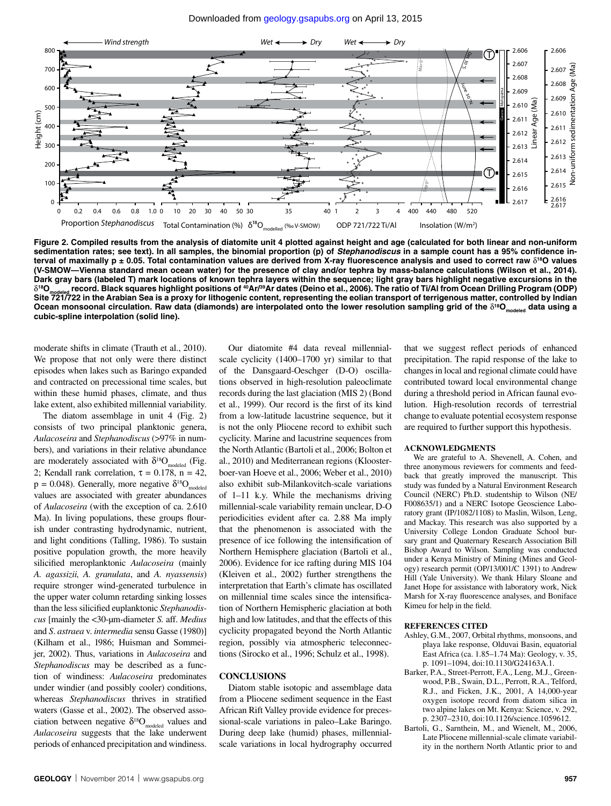

**Figure 2. Compiled results from the analysis of diatomite unit 4 plotted against height and age (calculated for both linear and non-uniform sedimentation rates; see text). In all samples, the binomial proportion (p) of** *Stephanodiscus* **in a sample count has a 95% confidence in**terval of maximally  $p \pm 0.05$ . Total contamination values are derived from X-ray fluorescence analysis and used to correct raw  $\delta^{18}$ O values **(V-SMOW—Vienna standard mean ocean water) for the presence of clay and/or tephra by mass-balance calculations (Wilson et al., 2014). Dark gray bars (labeled T) mark locations of known tephra layers within the sequence; light gray bars highlight negative excursions in the**   $\delta^{18}$ O<sub>modeled</sub> record. Black squares highlight positions of <sup>40</sup>Ar/<sup>39</sup>Ar dates (Deino et al., 2006). The ratio of Ti/Al from Ocean Drilling Program (ODP) **Site 721/722 in the Arabian Sea is a proxy for lithogenic content, representing the eolian transport of terrigenous matter, controlled by Indian**  Ocean monsoonal circulation. Raw data (diamonds) are interpolated onto the lower resolution sampling grid of the  $\delta^{18}O_{model}$  data using a **cubic-spline interpolation (solid line).**

moderate shifts in climate (Trauth et al., 2010). We propose that not only were there distinct episodes when lakes such as Baringo expanded and contracted on precessional time scales, but within these humid phases, climate, and thus lake extent, also exhibited millennial variability.

The diatom assemblage in unit 4 (Fig. 2) consists of two principal planktonic genera, *Aulacoseira* and *Stephanodiscus* (>97% in numbers), and variations in their relative abundance are moderately associated with  $\delta^{18}O_{\text{model}}$  (Fig. 2; Kendall rank correlation,  $\tau = 0.178$ ,  $n = 42$ ,  $p = 0.048$ ). Generally, more negative  $\delta^{18}O_{\text{modeled}}$ values are associated with greater abundances of *Aulacoseira* (with the exception of ca. 2.610 Ma). In living populations, these groups flourish under contrasting hydrodynamic, nutrient, and light conditions (Talling, 1986). To sustain positive population growth, the more heavily silicified meroplanktonic *Aulacoseira* (mainly *A. agassizii, A. granulata*, and *A. nyassensis*) require stronger wind-generated turbulence in the upper water column retarding sinking losses than the less silicified euplanktonic *Stephanodiscus* [mainly the <30-µm-diameter *S.* aff. *Medius* and *S*. *astraea* v. *intermedia* sensu Gasse (1980)] (Kilham et al., 1986; Huisman and Sommeijer, 2002). Thus, variations in *Aulacoseira* and *Stephanodiscus* may be described as a function of windiness: *Aulacoseira* predominates under windier (and possibly cooler) conditions, whereas *Stephanodiscus* thrives in stratified waters (Gasse et al., 2002). The observed association between negative  $\delta^{18}O_{\text{model}}$  values and *Aulacoseira* suggests that the lake underwent periods of enhanced precipitation and windiness.

Our diatomite #4 data reveal millennialscale cyclicity (1400–1700 yr) similar to that of the Dansgaard-Oeschger (D-O) oscillations observed in high-resolution paleoclimate records during the last glaciation (MIS 2) (Bond et al., 1999). Our record is the first of its kind from a low-latitude lacustrine sequence, but it is not the only Pliocene record to exhibit such cyclicity. Marine and lacustrine sequences from the North Atlantic (Bartoli et al., 2006; Bolton et al., 2010) and Mediterranean regions (Kloosterboer-van Hoeve et al., 2006; Weber et al., 2010) also exhibit sub-Milankovitch-scale variations of 1–11 k.y. While the mechanisms driving millennial-scale variability remain unclear, D-O periodicities evident after ca. 2.88 Ma imply that the phenomenon is associated with the presence of ice following the intensification of Northern Hemisphere glaciation (Bartoli et al., 2006). Evidence for ice rafting during MIS 104 (Kleiven et al., 2002) further strengthens the interpretation that Earth's climate has oscillated on millennial time scales since the intensification of Northern Hemispheric glaciation at both high and low latitudes, and that the effects of this cyclicity propagated beyond the North Atlantic region, possibly via atmospheric teleconnections (Sirocko et al., 1996; Schulz et al., 1998).

#### **CONCLUSIONS**

Diatom stable isotopic and assemblage data from a Pliocene sediment sequence in the East African Rift Valley provide evidence for precessional-scale variations in paleo–Lake Baringo. During deep lake (humid) phases, millennialscale variations in local hydrography occurred

that we suggest reflect periods of enhanced precipitation. The rapid response of the lake to changes in local and regional climate could have contributed toward local environmental change during a threshold period in African faunal evolution. High-resolution records of terrestrial change to evaluate potential ecosystem response are required to further support this hypothesis.

#### **ACKNOWLEDGMENTS**

We are grateful to A. Shevenell, A. Cohen, and three anonymous reviewers for comments and feedback that greatly improved the manuscript. This study was funded by a Natural Environment Research Council (NERC) Ph.D. studentship to Wilson (NE/ F008635/1) and a NERC Isotope Geoscience Laboratory grant (IP/1082/1108) to Maslin, Wilson, Leng, and Mackay. This research was also supported by a University College London Graduate School bursary grant and Quaternary Research Association Bill Bishop Award to Wilson. Sampling was conducted under a Kenya Ministry of Mining (Mines and Geology) research permit (OP/13/001/C 1391) to Andrew Hill (Yale University). We thank Hilary Sloane and Janet Hope for assistance with laboratory work, Nick Marsh for X-ray fluorescence analyses, and Boniface Kimeu for help in the field.

#### **REFERENCES CITED**

- Ashley, G.M., 2007, Orbital rhythms, monsoons, and playa lake response, Olduvai Basin, equatorial East Africa (ca. 1.85–1.74 Ma): Geology, v. 35, p. 1091–1094, doi:10.1130/G24163A.1.
- Barker, P.A., Street-Perrott, F.A., Leng, M.J., Greenwood, P.B., Swain, D.L., Perrott, R.A., Telford, R.J., and Ficken, J.K., 2001, A 14,000-year oxygen isotope record from diatom silica in two alpine lakes on Mt. Kenya: Science, v. 292, p. 2307–2310, doi:10.1126/science.1059612.
- Bartoli, G., Sarnthein, M., and Wienelt, M., 2006, Late Pliocene millennial-scale climate variability in the northern North Atlantic prior to and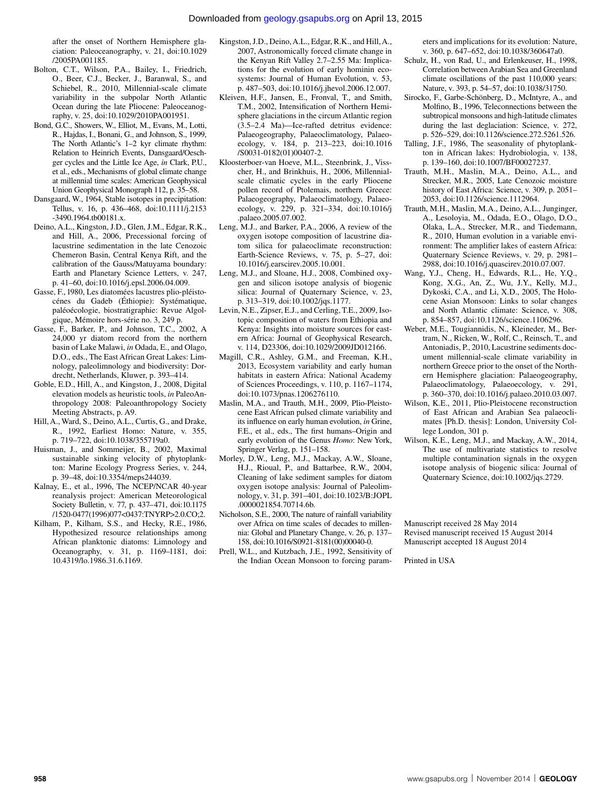after the onset of Northern Hemisphere glaciation: Paleoceanography, v. 21, doi:10.1029 /2005PA001185.

- Bolton, C.T., Wilson, P.A., Bailey, I., Friedrich, O., Beer, C.J., Becker, J., Baranwal, S., and Schiebel, R., 2010, Millennial-scale climate variability in the subpolar North Atlantic Ocean during the late Pliocene: Paleoceanography, v. 25, doi:10.1029/2010PA001951.
- Bond, G.C., Showers, W., Elliot, M., Evans, M., Lotti, R., Hajdas, I., Bonani, G., and Johnson, S., 1999, The North Atlantic's 1–2 kyr climate rhythm: Relation to Heinrich Events, Dansgaard/Oeschger cycles and the Little Ice Age, *in* Clark, P.U., et al., eds., Mechanisms of global climate change at millennial time scales: American Geophysical Union Geophysical Monograph 112, p. 35–58.
- Dansgaard, W., 1964, Stable isotopes in precipitation: Tellus, v. 16, p. 436–468, doi:10.1111/j.2153 -3490.1964.tb00181.x.
- Deino, A.L., Kingston, J.D., Glen, J.M., Edgar, R.K., and Hill, A., 2006, Precessional forcing of lacustrine sedimentation in the late Cenozoic Chemeron Basin, Central Kenya Rift, and the calibration of the Gauss/Matuyama boundary: Earth and Planetary Science Letters, v. 247, p. 41–60, doi:10.1016/j.epsl.2006.04.009.
- Gasse, F., 1980, Les diatomées lacustres plio-pléistocénes du Gadeb (Éthiopie): Systématique, paléoécologie, biostratigraphie: Revue Algolgique, Mémoire hors-série no. 3, 249 p.
- Gasse, F., Barker, P., and Johnson, T.C., 2002, A 24,000 yr diatom record from the northern basin of Lake Malawi, *in* Odada, E., and Olago, D.O., eds., The East African Great Lakes: Limnology, paleolimnology and biodiversity: Dordrecht, Netherlands, Kluwer, p. 393–414.
- Goble, E.D., Hill, A., and Kingston, J., 2008, Digital elevation models as heuristic tools, *in* PaleoAnthropology 2008: Paleoanthropology Society Meeting Abstracts, p. A9.
- Hill, A., Ward, S., Deino, A.L., Curtis, G., and Drake, R., 1992, Earliest Homo: Nature, v. 355, p. 719–722, doi:10.1038/355719a0.
- Huisman, J., and Sommeijer, B., 2002, Maximal sustainable sinking velocity of phytoplankton: Marine Ecology Progress Series, v. 244, p. 39–48, doi:10.3354/meps244039.
- Kalnay, E., et al., 1996, The NCEP/NCAR 40-year reanalysis project: American Meteorological Society Bulletin, v. 77, p. 437–471, doi:10.1175 /1520-0477(1996)077<0437:TNYRP>2.0.CO;2.
- Kilham, P., Kilham, S.S., and Hecky, R.E., 1986, Hypothesized resource relationships among African planktonic diatoms: Limnology and Oceanography, v. 31, p. 1169–1181, doi: 10.4319/lo.1986.31.6.1169.
- Kingston, J.D., Deino, A.L., Edgar, R.K., and Hill, A., 2007, Astronomically forced climate change in the Kenyan Rift Valley 2.7–2.55 Ma: Implications for the evolution of early hominin ecosystems: Journal of Human Evolution, v. 53, p. 487–503, doi:10.1016/j.jhevol.2006.12.007.
- Kleiven, H.F., Jansen, E., Fronval, T., and Smith, T.M., 2002, Intensification of Northern Hemisphere glaciations in the circum Atlantic region (3.5–2.4 Ma)—Ice-rafted detritus evidence: Palaeogeography, Palaeoclimatology, Palaeoecology, v. 184, p. 213–223, doi:10.1016 /S0031-0182(01)00407-2.
- Kloosterboer-van Hoeve, M.L., Steenbrink, J., Visscher, H., and Brinkhuis, H., 2006, Millennialscale climatic cycles in the early Pliocene pollen record of Ptolemais, northern Greece: Palaeogeography, Palaeoclimatology, Palaeoecology, v. 229, p. 321–334, doi:10.1016/j .palaeo.2005.07.002.
- Leng, M.J., and Barker, P.A., 2006, A review of the oxygen isotope composition of lacustrine diatom silica for palaeoclimate reconstruction: Earth-Science Reviews, v. 75, p. 5–27, doi: 10.1016/j.earscirev.2005.10.001.
- Leng, M.J., and Sloane, H.J., 2008, Combined oxygen and silicon isotope analysis of biogenic silica: Journal of Quaternary Science, v. 23, p. 313–319, doi:10.1002/jqs.1177.
- Levin, N.E., Zipser, E.J., and Cerling, T.E., 2009, Isotopic composition of waters from Ethiopia and Kenya: Insights into moisture sources for eastern Africa: Journal of Geophysical Research, v. 114, D23306, doi:10.1029/2009JD012166.
- Magill, C.R., Ashley, G.M., and Freeman, K.H., 2013, Ecosystem variability and early human habitats in eastern Africa: National Academy of Sciences Proceedings, v. 110, p. 1167–1174, doi:10.1073/pnas.1206276110.
- Maslin, M.A., and Trauth, M.H., 2009, Plio-Pleistocene East African pulsed climate variability and its influence on early human evolution, *in* Grine, F.E., et al., eds., The first humans–Origin and early evolution of the Genus *Homo*: New York, Springer Verlag, p. 151–158.
- Morley, D.W., Leng, M.J., Mackay, A.W., Sloane, H.J., Rioual, P., and Battarbee, R.W., 2004, Cleaning of lake sediment samples for diatom oxygen isotope analysis: Journal of Paleolimnology, v. 31, p. 391–401, doi:10.1023/B:JOPL .0000021854.70714.6b.
- Nicholson, S.E., 2000, The nature of rainfall variability over Africa on time scales of decades to millennia: Global and Planetary Change, v. 26, p. 137– 158, doi:10.1016/S0921-8181(00)00040-0.
- Prell, W.L., and Kutzbach, J.E., 1992, Sensitivity of the Indian Ocean Monsoon to forcing param-

eters and implications for its evolution: Nature, v. 360, p. 647–652, doi:10.1038/360647a0.

- Schulz, H., von Rad, U., and Erlenkeuser, H., 1998, Correlation between Arabian Sea and Greenland climate oscillations of the past 110,000 years: Nature, v. 393, p. 54–57, doi:10.1038/31750.
- Sirocko, F., Garbe-Schönberg, D., McIntyre, A., and Molfino, B., 1996, Teleconnections between the subtropical monsoons and high-latitude climates during the last deglaciation: Science, v. 272, p. 526–529, doi:10.1126/science.272.5261.526.
- Talling, J.F., 1986, The seasonality of phytoplankton in African lakes: Hydrobiologia, v. 138, p. 139–160, doi:10.1007/BF00027237.
- Trauth, M.H., Maslin, M.A., Deino, A.L., and Strecker, M.R., 2005, Late Cenozoic moisture history of East Africa: Science, v. 309, p. 2051– 2053, doi:10.1126/science.1112964.
- Trauth, M.H., Maslin, M.A., Deino, A.L., Junginger, A., Lesoloyia, M., Odada, E.O., Olago, D.O., Olaka, L.A., Strecker, M.R., and Tiedemann, R., 2010, Human evolution in a variable environment: The amplifier lakes of eastern Africa: Quaternary Science Reviews, v. 29, p. 2981– 2988, doi:10.1016/j.quascirev.2010.07.007.
- Wang, Y.J., Cheng, H., Edwards, R.L., He, Y.Q., Kong, X.G., An, Z., Wu, J.Y., Kelly, M.J., Dykoski, C.A., and Li, X.D., 2005, The Holocene Asian Monsoon: Links to solar changes and North Atlantic climate: Science, v. 308, p. 854–857, doi:10.1126/science.1106296.
- Weber, M.E., Tougiannidis, N., Kleineder, M., Bertram, N., Ricken, W., Rolf, C., Reinsch, T., and Antoniadis, P., 2010, Lacustrine sediments document millennial-scale climate variability in northern Greece prior to the onset of the Northern Hemisphere glaciation: Palaeogeography, Palaeoclimatology, Palaeoecology, v. 291, p. 360–370, doi:10.1016/j.palaeo.2010.03.007.
- Wilson, K.E., 2011, Plio-Pleistocene reconstruction of East African and Arabian Sea palaeoclimates [Ph.D. thesis]: London, University College London, 301 p.
- Wilson, K.E., Leng, M.J., and Mackay, A.W., 2014, The use of multivariate statistics to resolve multiple contamination signals in the oxygen isotope analysis of biogenic silica: Journal of Quaternary Science, doi:10.1002/jqs.2729.

Manuscript received 28 May 2014 Revised manuscript received 15 August 2014 Manuscript accepted 18 August 2014

Printed in USA